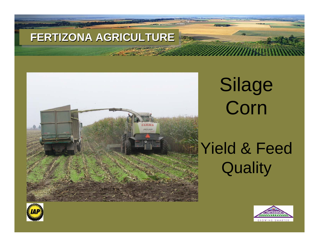

Silage Corn

Yield & Feed **Quality** 



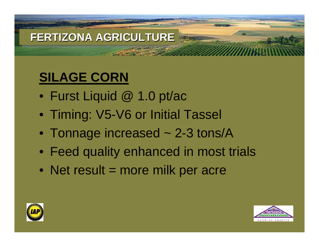# **SILAGE CORN**

- Furst Liquid @ 1.0 pt/ac
- Timing: V5-V6 or Initial Tassel
- Tonnage increased ~ 2-3 tons/A
- Feed quality enhanced in most trials
- Net result = more milk per acre



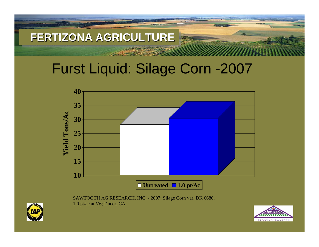# Furst Liquid: Silage Corn -2007



SAWTOOTH AG RESEARCH, INC. - 2007; Silage Corn var. DK 6680. 1.0 pt/ac at V6; Ducor, CA



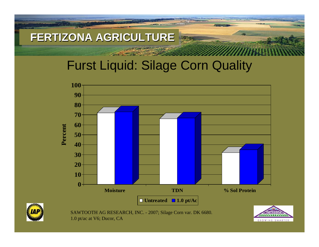## Furst Liquid: Silage Corn Quality



SAWTOOTH AG RESEARCH, INC. - 2007; Silage Corn var. DK 6680. 1.0 pt/ac at V6; Ducor, CA

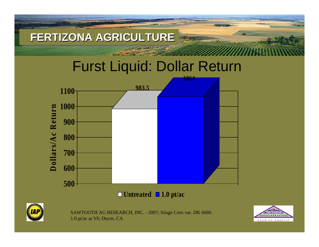

1.0 pt/ac at V6; Ducor, CA

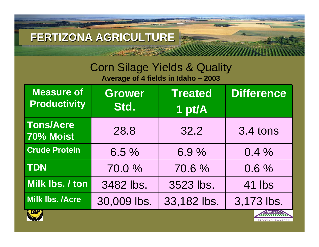#### Corn Silage Yields & Quality **Average of 4 fields in Idaho – 2003**

| <b>Measure of</b><br><b>Productivity</b> | <b>Grower</b><br>Std. | <b>Treated</b><br>1 pt/A | <b>Difference</b> |
|------------------------------------------|-----------------------|--------------------------|-------------------|
| <b>Tons/Acre</b><br>70% Moist            | 28.8                  | 32.2                     | 3.4 tons          |
| <b>Crude Protein</b>                     | 6.5%                  | 6.9%                     | 0.4%              |
| <b>TDN</b>                               | 70.0%                 | 70.6%                    | 0.6%              |
| Milk Ibs. / ton                          | 3482 lbs.             | 3523 lbs.                | 41 lbs            |
| <b>Milk lbs. /Acre</b>                   | 30,009 lbs.           | 33,182 lbs.              | 3,173 lbs.        |
| <b>EIHI'S</b>                            |                       |                          |                   |

GROWING SMART

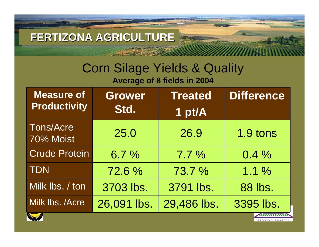**THANK** 

# Corn Silage Yields & Quality

**Average of 8 fields in 2004**

| <b>Measure of</b><br><b>Productivity</b> | <b>Grower</b><br>Std. | <b>Treated</b><br>1 pt/A | <b>Difference</b> |  |
|------------------------------------------|-----------------------|--------------------------|-------------------|--|
| <b>Tons/Acre</b><br>70% Moist            | 25.0                  | 26.9                     | 1.9 tons          |  |
| <b>Crude Protein</b>                     | 6.7%                  | $7.7\%$                  | $0.4\%$           |  |
| <b>TDN</b>                               | 72.6%                 | 73.7 %                   | 1.1%              |  |
| Milk Ibs. / ton                          | 3703 lbs.             | 3791 lbs.                | 88 lbs.           |  |
| Milk Ibs. / Acre                         | 26,091 lbs.           | 29,486 lbs.              | 3395 lbs.         |  |
|                                          |                       |                          |                   |  |

GROWING SMARTE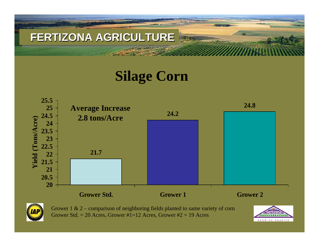

# **Silage Corn**



Grower 1 & 2 – comparison of neighboring fields planted to same variety of corn Grower Std. = 20 Acres, Grower  $\#1=12$  Acres, Grower  $\#2=19$  Acres